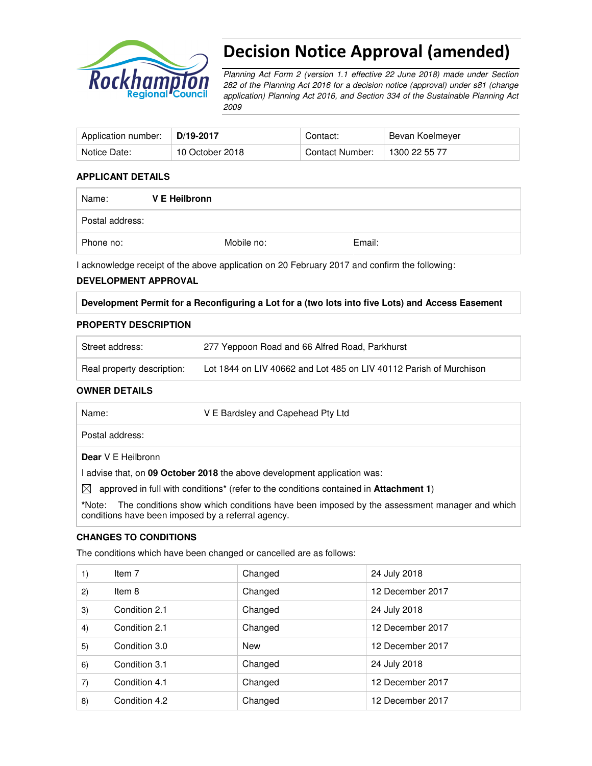

# Decision Notice Approval (amended)

Planning Act Form 2 (version 1.1 effective 22 June 2018) made under Section 282 of the Planning Act 2016 for a decision notice (approval) under s81 (change application) Planning Act 2016, and Section 334 of the Sustainable Planning Act 2009

| Application number: | D/19-2017       | Contact:        | Bevan Koelmeyer |
|---------------------|-----------------|-----------------|-----------------|
| Notice Date:        | 10 October 2018 | Contact Number: | 1300 22 55 77   |

#### **APPLICANT DETAILS**

| Name:           | V E Heilbronn |            |        |
|-----------------|---------------|------------|--------|
| Postal address: |               |            |        |
| Phone no:       |               | Mobile no: | Email: |

I acknowledge receipt of the above application on 20 February 2017 and confirm the following:

#### **DEVELOPMENT APPROVAL**

**Development Permit for a Reconfiguring a Lot for a (two lots into five Lots) and Access Easement** 

#### **PROPERTY DESCRIPTION**

| Street address:            | 277 Yeppoon Road and 66 Alfred Road, Parkhurst                     |
|----------------------------|--------------------------------------------------------------------|
| Real property description: | Lot 1844 on LIV 40662 and Lot 485 on LIV 40112 Parish of Murchison |

#### **OWNER DETAILS**

Name: V E Bardsley and Capehead Pty Ltd

Postal address:

**Dear** V E Heilbronn

I advise that, on **09 October 2018** the above development application was:

 $\boxtimes$  approved in full with conditions<sup>\*</sup> (refer to the conditions contained in **Attachment 1**)

**\***Note:The conditions show which conditions have been imposed by the assessment manager and which conditions have been imposed by a referral agency.

### **CHANGES TO CONDITIONS**

The conditions which have been changed or cancelled are as follows:

| 1) | Item 7        | Changed    | 24 July 2018     |
|----|---------------|------------|------------------|
| 2) | Item 8        | Changed    | 12 December 2017 |
| 3) | Condition 2.1 | Changed    | 24 July 2018     |
| 4) | Condition 2.1 | Changed    | 12 December 2017 |
| 5) | Condition 3.0 | <b>New</b> | 12 December 2017 |
| 6) | Condition 3.1 | Changed    | 24 July 2018     |
| 7) | Condition 4.1 | Changed    | 12 December 2017 |
| 8) | Condition 4.2 | Changed    | 12 December 2017 |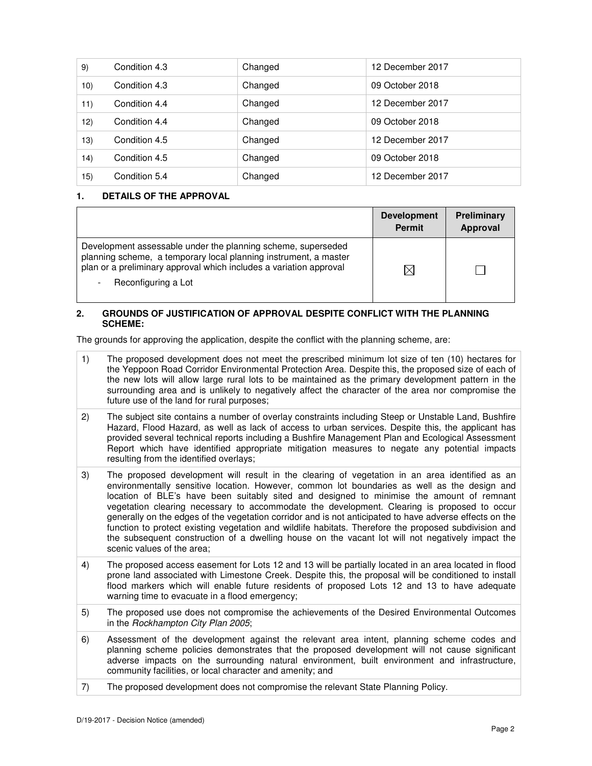| 9)  | Condition 4.3 | Changed | 12 December 2017 |
|-----|---------------|---------|------------------|
| 10) | Condition 4.3 | Changed | 09 October 2018  |
| 11) | Condition 4.4 | Changed | 12 December 2017 |
| 12) | Condition 4.4 | Changed | 09 October 2018  |
| 13) | Condition 4.5 | Changed | 12 December 2017 |
| 14) | Condition 4.5 | Changed | 09 October 2018  |
| 15) | Condition 5.4 | Changed | 12 December 2017 |

#### **1. DETAILS OF THE APPROVAL**

|                                                                                                                                                                                                                               | <b>Development</b><br><b>Permit</b> | Preliminary<br>Approval |
|-------------------------------------------------------------------------------------------------------------------------------------------------------------------------------------------------------------------------------|-------------------------------------|-------------------------|
| Development assessable under the planning scheme, superseded<br>planning scheme, a temporary local planning instrument, a master<br>plan or a preliminary approval which includes a variation approval<br>Reconfiguring a Lot |                                     |                         |

#### **2. GROUNDS OF JUSTIFICATION OF APPROVAL DESPITE CONFLICT WITH THE PLANNING SCHEME:**

The grounds for approving the application, despite the conflict with the planning scheme, are:

- 1) The proposed development does not meet the prescribed minimum lot size of ten (10) hectares for the Yeppoon Road Corridor Environmental Protection Area. Despite this, the proposed size of each of the new lots will allow large rural lots to be maintained as the primary development pattern in the surrounding area and is unlikely to negatively affect the character of the area nor compromise the future use of the land for rural purposes;
- 2) The subject site contains a number of overlay constraints including Steep or Unstable Land, Bushfire Hazard, Flood Hazard, as well as lack of access to urban services. Despite this, the applicant has provided several technical reports including a Bushfire Management Plan and Ecological Assessment Report which have identified appropriate mitigation measures to negate any potential impacts resulting from the identified overlays;
- 3) The proposed development will result in the clearing of vegetation in an area identified as an environmentally sensitive location. However, common lot boundaries as well as the design and location of BLE's have been suitably sited and designed to minimise the amount of remnant vegetation clearing necessary to accommodate the development. Clearing is proposed to occur generally on the edges of the vegetation corridor and is not anticipated to have adverse effects on the function to protect existing vegetation and wildlife habitats. Therefore the proposed subdivision and the subsequent construction of a dwelling house on the vacant lot will not negatively impact the scenic values of the area;
- 4) The proposed access easement for Lots 12 and 13 will be partially located in an area located in flood prone land associated with Limestone Creek. Despite this, the proposal will be conditioned to install flood markers which will enable future residents of proposed Lots 12 and 13 to have adequate warning time to evacuate in a flood emergency;
- 5) The proposed use does not compromise the achievements of the Desired Environmental Outcomes in the Rockhampton City Plan 2005;
- 6) Assessment of the development against the relevant area intent, planning scheme codes and planning scheme policies demonstrates that the proposed development will not cause significant adverse impacts on the surrounding natural environment, built environment and infrastructure, community facilities, or local character and amenity; and
- 7) The proposed development does not compromise the relevant State Planning Policy.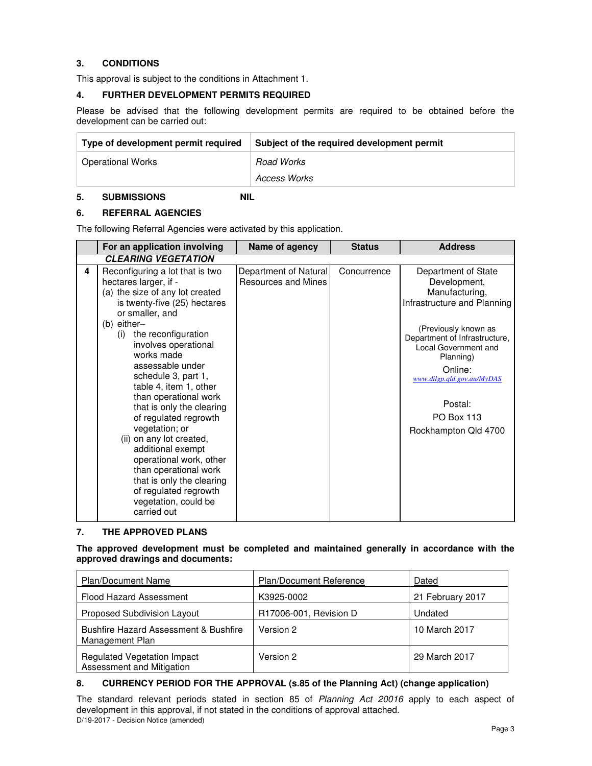# **3. CONDITIONS**

This approval is subject to the conditions in Attachment 1.

# **4. FURTHER DEVELOPMENT PERMITS REQUIRED**

Please be advised that the following development permits are required to be obtained before the development can be carried out:

| Type of development permit required | Subject of the required development permit |
|-------------------------------------|--------------------------------------------|
| <b>Operational Works</b>            | <b>Road Works</b>                          |
|                                     | Access Works                               |

# **5. SUBMISSIONS NIL**

# **6. REFERRAL AGENCIES**

The following Referral Agencies were activated by this application.

#### **7. THE APPROVED PLANS**

**The approved development must be completed and maintained generally in accordance with the approved drawings and documents:** 

| <b>Plan/Document Name</b>                                           | <b>Plan/Document Reference</b> | Dated            |
|---------------------------------------------------------------------|--------------------------------|------------------|
| <b>Flood Hazard Assessment</b>                                      | K3925-0002                     | 21 February 2017 |
| <b>Proposed Subdivision Layout</b>                                  | R17006-001, Revision D         | Undated          |
| <b>Bushfire Hazard Assessment &amp; Bushfire</b><br>Management Plan | Version 2                      | 10 March 2017    |
| <b>Regulated Vegetation Impact</b><br>Assessment and Mitigation     | Version 2                      | 29 March 2017    |

# **8. CURRENCY PERIOD FOR THE APPROVAL (s.85 of the Planning Act) (change application)**

D/19-2017 - Decision Notice (amended) The standard relevant periods stated in section 85 of Planning Act 20016 apply to each aspect of development in this approval, if not stated in the conditions of approval attached.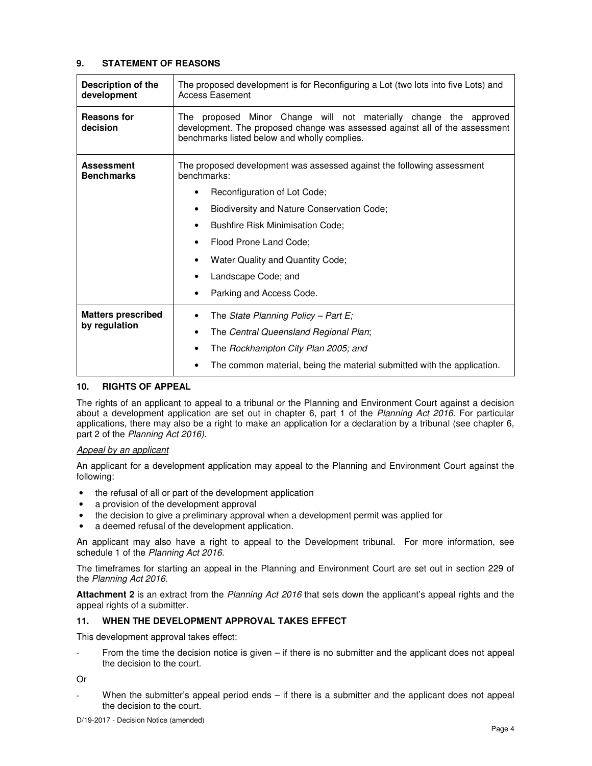#### **9. STATEMENT OF REASONS**

| Description of the<br>development      | The proposed development is for Reconfiguring a Lot (two lots into five Lots) and<br><b>Access Easement</b>                                                                                         |  |  |
|----------------------------------------|-----------------------------------------------------------------------------------------------------------------------------------------------------------------------------------------------------|--|--|
| <b>Reasons for</b><br>decision         | proposed Minor Change will not materially change the approved<br>The<br>development. The proposed change was assessed against all of the assessment<br>benchmarks listed below and wholly complies. |  |  |
| <b>Assessment</b><br><b>Benchmarks</b> | The proposed development was assessed against the following assessment<br>benchmarks:                                                                                                               |  |  |
|                                        | Reconfiguration of Lot Code;<br>٠                                                                                                                                                                   |  |  |
|                                        | Biodiversity and Nature Conservation Code;<br>$\bullet$                                                                                                                                             |  |  |
|                                        | <b>Bushfire Risk Minimisation Code;</b><br>٠                                                                                                                                                        |  |  |
|                                        | Flood Prone Land Code;                                                                                                                                                                              |  |  |
|                                        | Water Quality and Quantity Code;<br>٠                                                                                                                                                               |  |  |
|                                        | Landscape Code; and                                                                                                                                                                                 |  |  |
|                                        | Parking and Access Code.<br>٠                                                                                                                                                                       |  |  |
| <b>Matters prescribed</b>              | The State Planning Policy - Part $E_i$<br>٠                                                                                                                                                         |  |  |
| by regulation                          | The Central Queensland Regional Plan;<br>$\bullet$                                                                                                                                                  |  |  |
|                                        | The Rockhampton City Plan 2005; and<br>٠                                                                                                                                                            |  |  |
|                                        | The common material, being the material submitted with the application.                                                                                                                             |  |  |

#### **10. RIGHTS OF APPEAL**

The rights of an applicant to appeal to a tribunal or the Planning and Environment Court against a decision about a development application are set out in chapter 6, part 1 of the Planning Act 2016. For particular applications, there may also be a right to make an application for a declaration by a tribunal (see chapter 6, part 2 of the Planning Act 2016).

#### Appeal by an applicant

An applicant for a development application may appeal to the Planning and Environment Court against the following:

- the refusal of all or part of the development application
- a provision of the development approval
- the decision to give a preliminary approval when a development permit was applied for
- a deemed refusal of the development application.

An applicant may also have a right to appeal to the Development tribunal. For more information, see schedule 1 of the Planning Act 2016.

The timeframes for starting an appeal in the Planning and Environment Court are set out in section 229 of the Planning Act 2016.

**Attachment 2** is an extract from the Planning Act 2016 that sets down the applicant's appeal rights and the appeal rights of a submitter.

#### **11. WHEN THE DEVELOPMENT APPROVAL TAKES EFFECT**

This development approval takes effect:

From the time the decision notice is given  $-$  if there is no submitter and the applicant does not appeal the decision to the court.

Or

When the submitter's appeal period ends  $-$  if there is a submitter and the applicant does not appeal the decision to the court.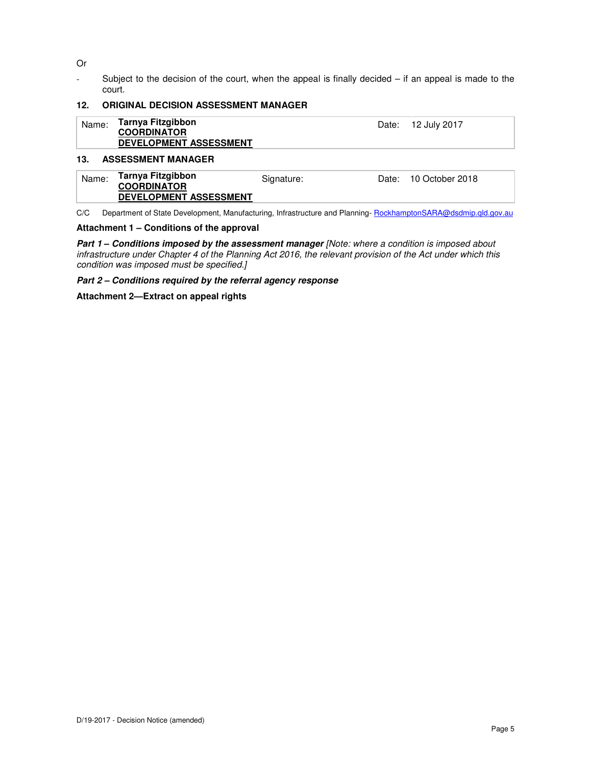Or

- Subject to the decision of the court, when the appeal is finally decided – if an appeal is made to the court.

#### **12. ORIGINAL DECISION ASSESSMENT MANAGER**

| Name: | Tarnya Fitzgibbon<br><b>COORDINATOR</b><br><b>DEVELOPMENT ASSESSMENT</b> | Date: 12 July 2017 |
|-------|--------------------------------------------------------------------------|--------------------|
| 13.   | <b>ASSESSMENT MANAGER</b>                                                |                    |

#### Name: **Tarnya Fitzgibbon COORDINATOR DEVELOPMENT ASSESSMENT** Signature: Date: 10 October 2018

C/C Department of State Development, Manufacturing, Infrastructure and Planning- RockhamptonSARA@dsdmip.qld.gov.au

#### **Attachment 1 – Conditions of the approval**

Part 1 - Conditions imposed by the assessment manager [Note: where a condition is imposed about infrastructure under Chapter 4 of the Planning Act 2016, the relevant provision of the Act under which this condition was imposed must be specified.]

#### **Part 2 – Conditions required by the referral agency response**

#### **Attachment 2—Extract on appeal rights**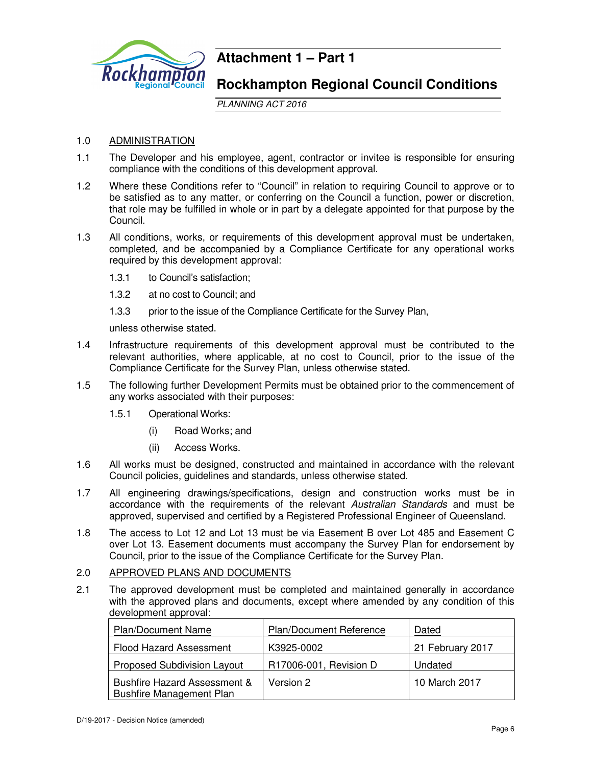

# **Attachment 1 – Part 1**

# **Rockhampton Regional Council Conditions**

PLANNING ACT 2016

# 1.0 ADMINISTRATION

- 1.1 The Developer and his employee, agent, contractor or invitee is responsible for ensuring compliance with the conditions of this development approval.
- 1.2 Where these Conditions refer to "Council" in relation to requiring Council to approve or to be satisfied as to any matter, or conferring on the Council a function, power or discretion, that role may be fulfilled in whole or in part by a delegate appointed for that purpose by the Council.
- 1.3 All conditions, works, or requirements of this development approval must be undertaken, completed, and be accompanied by a Compliance Certificate for any operational works required by this development approval:
	- 1.3.1 to Council's satisfaction;
	- 1.3.2 at no cost to Council; and
	- 1.3.3 prior to the issue of the Compliance Certificate for the Survey Plan,

unless otherwise stated.

- 1.4 Infrastructure requirements of this development approval must be contributed to the relevant authorities, where applicable, at no cost to Council, prior to the issue of the Compliance Certificate for the Survey Plan, unless otherwise stated.
- 1.5 The following further Development Permits must be obtained prior to the commencement of any works associated with their purposes:
	- 1.5.1 Operational Works:
		- (i) Road Works; and
		- (ii) Access Works.
- 1.6 All works must be designed, constructed and maintained in accordance with the relevant Council policies, guidelines and standards, unless otherwise stated.
- 1.7 All engineering drawings/specifications, design and construction works must be in accordance with the requirements of the relevant Australian Standards and must be approved, supervised and certified by a Registered Professional Engineer of Queensland.
- 1.8 The access to Lot 12 and Lot 13 must be via Easement B over Lot 485 and Easement C over Lot 13. Easement documents must accompany the Survey Plan for endorsement by Council, prior to the issue of the Compliance Certificate for the Survey Plan.
- 2.0 APPROVED PLANS AND DOCUMENTS
- 2.1 The approved development must be completed and maintained generally in accordance with the approved plans and documents, except where amended by any condition of this development approval:

| <b>Plan/Document Name</b>                                                  | Plan/Document Reference | Dated            |
|----------------------------------------------------------------------------|-------------------------|------------------|
| <b>Flood Hazard Assessment</b>                                             | K3925-0002              | 21 February 2017 |
| Proposed Subdivision Layout                                                | R17006-001, Revision D  | Undated          |
| <b>Bushfire Hazard Assessment &amp;</b><br><b>Bushfire Management Plan</b> | Version 2               | 10 March 2017    |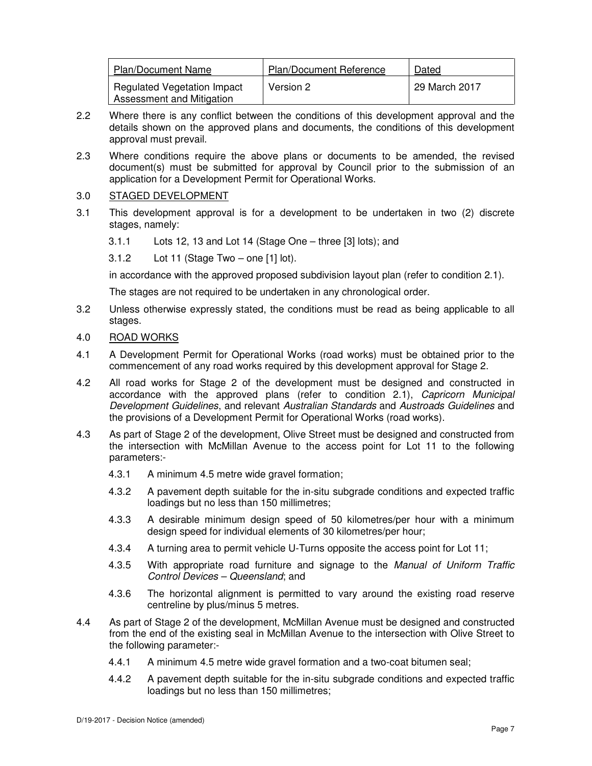| <b>Plan/Document Name</b>                                       | <b>Plan/Document Reference</b> | Dated         |
|-----------------------------------------------------------------|--------------------------------|---------------|
| <b>Regulated Vegetation Impact</b><br>Assessment and Mitigation | Version 2                      | 29 March 2017 |

- 2.2 Where there is any conflict between the conditions of this development approval and the details shown on the approved plans and documents, the conditions of this development approval must prevail.
- 2.3 Where conditions require the above plans or documents to be amended, the revised document(s) must be submitted for approval by Council prior to the submission of an application for a Development Permit for Operational Works.

### 3.0 STAGED DEVELOPMENT

- 3.1 This development approval is for a development to be undertaken in two (2) discrete stages, namely:
	- 3.1.1 Lots 12, 13 and Lot 14 (Stage One three [3] lots); and
	- 3.1.2 Lot 11 (Stage Two one [1] lot).

in accordance with the approved proposed subdivision layout plan (refer to condition 2.1).

The stages are not required to be undertaken in any chronological order.

- 3.2 Unless otherwise expressly stated, the conditions must be read as being applicable to all stages.
- 4.0 ROAD WORKS
- 4.1 A Development Permit for Operational Works (road works) must be obtained prior to the commencement of any road works required by this development approval for Stage 2.
- 4.2 All road works for Stage 2 of the development must be designed and constructed in accordance with the approved plans (refer to condition 2.1), Capricorn Municipal Development Guidelines, and relevant Australian Standards and Austroads Guidelines and the provisions of a Development Permit for Operational Works (road works).
- 4.3 As part of Stage 2 of the development, Olive Street must be designed and constructed from the intersection with McMillan Avenue to the access point for Lot 11 to the following parameters:-
	- 4.3.1 A minimum 4.5 metre wide gravel formation;
	- 4.3.2 A pavement depth suitable for the in-situ subgrade conditions and expected traffic loadings but no less than 150 millimetres;
	- 4.3.3 A desirable minimum design speed of 50 kilometres/per hour with a minimum design speed for individual elements of 30 kilometres/per hour;
	- 4.3.4 A turning area to permit vehicle U-Turns opposite the access point for Lot 11;
	- 4.3.5 With appropriate road furniture and signage to the Manual of Uniform Traffic Control Devices – Queensland; and
	- 4.3.6 The horizontal alignment is permitted to vary around the existing road reserve centreline by plus/minus 5 metres.
- 4.4 As part of Stage 2 of the development, McMillan Avenue must be designed and constructed from the end of the existing seal in McMillan Avenue to the intersection with Olive Street to the following parameter:-
	- 4.4.1 A minimum 4.5 metre wide gravel formation and a two-coat bitumen seal;
	- 4.4.2 A pavement depth suitable for the in-situ subgrade conditions and expected traffic loadings but no less than 150 millimetres;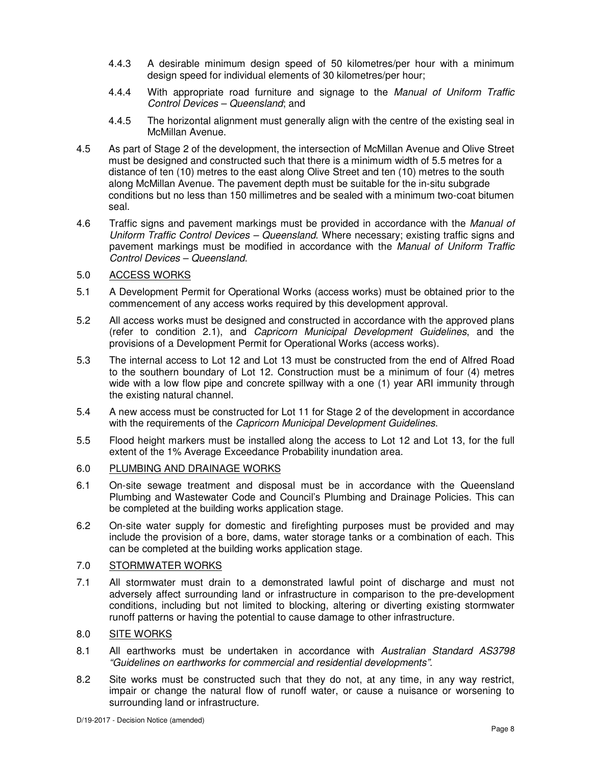- 4.4.3 A desirable minimum design speed of 50 kilometres/per hour with a minimum design speed for individual elements of 30 kilometres/per hour;
- 4.4.4 With appropriate road furniture and signage to the Manual of Uniform Traffic Control Devices – Queensland; and
- 4.4.5 The horizontal alignment must generally align with the centre of the existing seal in McMillan Avenue.
- 4.5 As part of Stage 2 of the development, the intersection of McMillan Avenue and Olive Street must be designed and constructed such that there is a minimum width of 5.5 metres for a distance of ten (10) metres to the east along Olive Street and ten (10) metres to the south along McMillan Avenue. The pavement depth must be suitable for the in-situ subgrade conditions but no less than 150 millimetres and be sealed with a minimum two-coat bitumen seal.
- 4.6 Traffic signs and pavement markings must be provided in accordance with the Manual of Uniform Traffic Control Devices – Queensland. Where necessary; existing traffic signs and pavement markings must be modified in accordance with the Manual of Uniform Traffic Control Devices – Queensland.

#### 5.0 ACCESS WORKS

- 5.1 A Development Permit for Operational Works (access works) must be obtained prior to the commencement of any access works required by this development approval.
- 5.2 All access works must be designed and constructed in accordance with the approved plans (refer to condition 2.1), and Capricorn Municipal Development Guidelines, and the provisions of a Development Permit for Operational Works (access works).
- 5.3 The internal access to Lot 12 and Lot 13 must be constructed from the end of Alfred Road to the southern boundary of Lot 12. Construction must be a minimum of four (4) metres wide with a low flow pipe and concrete spillway with a one (1) year ARI immunity through the existing natural channel.
- 5.4 A new access must be constructed for Lot 11 for Stage 2 of the development in accordance with the requirements of the *Capricorn Municipal Development Guidelines*.
- 5.5 Flood height markers must be installed along the access to Lot 12 and Lot 13, for the full extent of the 1% Average Exceedance Probability inundation area.

# 6.0 PLUMBING AND DRAINAGE WORKS

- 6.1 On-site sewage treatment and disposal must be in accordance with the Queensland Plumbing and Wastewater Code and Council's Plumbing and Drainage Policies. This can be completed at the building works application stage.
- 6.2 On-site water supply for domestic and firefighting purposes must be provided and may include the provision of a bore, dams, water storage tanks or a combination of each. This can be completed at the building works application stage.

# 7.0 STORMWATER WORKS

7.1 All stormwater must drain to a demonstrated lawful point of discharge and must not adversely affect surrounding land or infrastructure in comparison to the pre-development conditions, including but not limited to blocking, altering or diverting existing stormwater runoff patterns or having the potential to cause damage to other infrastructure.

### 8.0 SITE WORKS

- 8.1 All earthworks must be undertaken in accordance with Australian Standard AS3798 "Guidelines on earthworks for commercial and residential developments".
- 8.2 Site works must be constructed such that they do not, at any time, in any way restrict, impair or change the natural flow of runoff water, or cause a nuisance or worsening to surrounding land or infrastructure.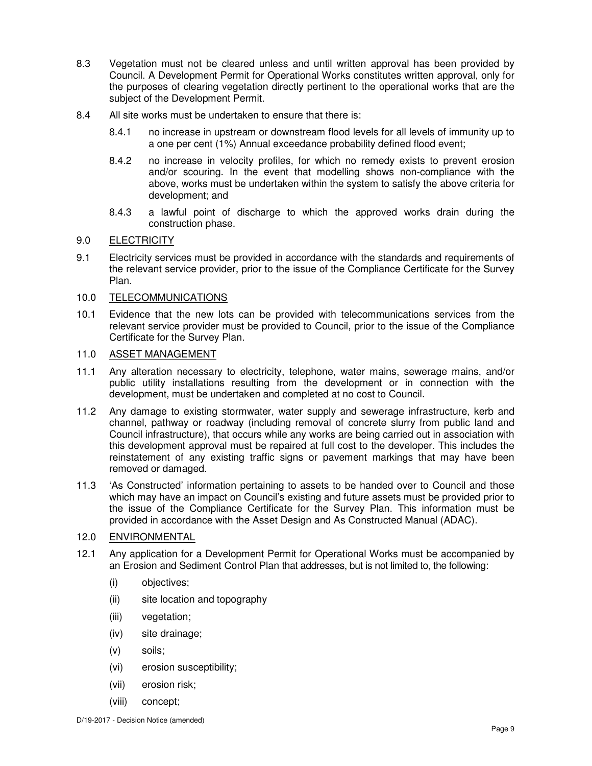- 8.3 Vegetation must not be cleared unless and until written approval has been provided by Council. A Development Permit for Operational Works constitutes written approval, only for the purposes of clearing vegetation directly pertinent to the operational works that are the subject of the Development Permit.
- 8.4 All site works must be undertaken to ensure that there is:
	- 8.4.1 no increase in upstream or downstream flood levels for all levels of immunity up to a one per cent (1%) Annual exceedance probability defined flood event;
	- 8.4.2 no increase in velocity profiles, for which no remedy exists to prevent erosion and/or scouring. In the event that modelling shows non-compliance with the above, works must be undertaken within the system to satisfy the above criteria for development; and
	- 8.4.3 a lawful point of discharge to which the approved works drain during the construction phase.

### 9.0 ELECTRICITY

9.1 Electricity services must be provided in accordance with the standards and requirements of the relevant service provider, prior to the issue of the Compliance Certificate for the Survey Plan.

### 10.0 TELECOMMUNICATIONS

10.1 Evidence that the new lots can be provided with telecommunications services from the relevant service provider must be provided to Council, prior to the issue of the Compliance Certificate for the Survey Plan.

# 11.0 ASSET MANAGEMENT

- 11.1 Any alteration necessary to electricity, telephone, water mains, sewerage mains, and/or public utility installations resulting from the development or in connection with the development, must be undertaken and completed at no cost to Council.
- 11.2 Any damage to existing stormwater, water supply and sewerage infrastructure, kerb and channel, pathway or roadway (including removal of concrete slurry from public land and Council infrastructure), that occurs while any works are being carried out in association with this development approval must be repaired at full cost to the developer. This includes the reinstatement of any existing traffic signs or pavement markings that may have been removed or damaged.
- 11.3 'As Constructed' information pertaining to assets to be handed over to Council and those which may have an impact on Council's existing and future assets must be provided prior to the issue of the Compliance Certificate for the Survey Plan. This information must be provided in accordance with the Asset Design and As Constructed Manual (ADAC).

# 12.0 ENVIRONMENTAL

- 12.1 Any application for a Development Permit for Operational Works must be accompanied by an Erosion and Sediment Control Plan that addresses, but is not limited to, the following:
	- (i) objectives;
	- (ii) site location and topography
	- (iii) vegetation;
	- (iv) site drainage;
	- (v) soils;
	- (vi) erosion susceptibility;
	- (vii) erosion risk;
	- (viii) concept;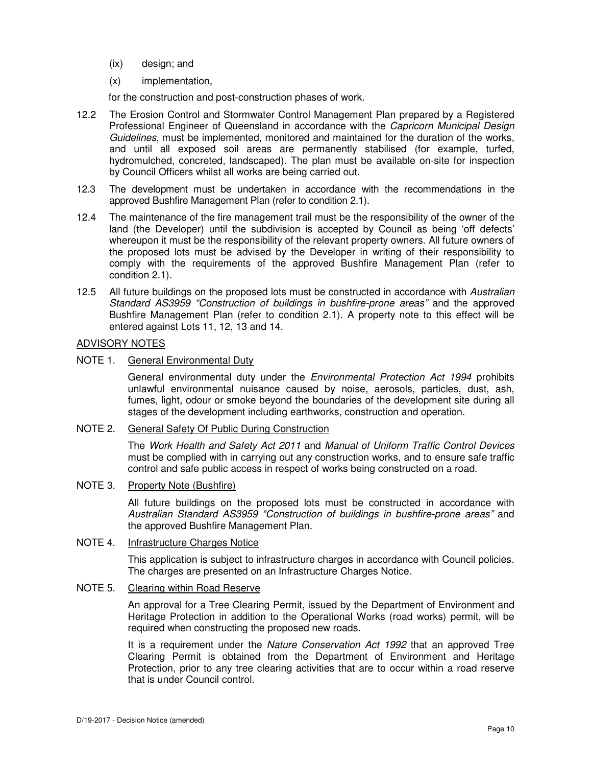- (ix) design; and
- (x) implementation,

for the construction and post-construction phases of work.

- 12.2 The Erosion Control and Stormwater Control Management Plan prepared by a Registered Professional Engineer of Queensland in accordance with the Capricorn Municipal Design Guidelines, must be implemented, monitored and maintained for the duration of the works, and until all exposed soil areas are permanently stabilised (for example, turfed, hydromulched, concreted, landscaped). The plan must be available on-site for inspection by Council Officers whilst all works are being carried out.
- 12.3 The development must be undertaken in accordance with the recommendations in the approved Bushfire Management Plan (refer to condition 2.1).
- 12.4 The maintenance of the fire management trail must be the responsibility of the owner of the land (the Developer) until the subdivision is accepted by Council as being 'off defects' whereupon it must be the responsibility of the relevant property owners. All future owners of the proposed lots must be advised by the Developer in writing of their responsibility to comply with the requirements of the approved Bushfire Management Plan (refer to condition 2.1).
- 12.5 All future buildings on the proposed lots must be constructed in accordance with Australian Standard AS3959 "Construction of buildings in bushfire-prone areas" and the approved Bushfire Management Plan (refer to condition 2.1). A property note to this effect will be entered against Lots 11, 12, 13 and 14.

#### ADVISORY NOTES

NOTE 1. General Environmental Duty

General environmental duty under the *Environmental Protection Act 1994* prohibits unlawful environmental nuisance caused by noise, aerosols, particles, dust, ash, fumes, light, odour or smoke beyond the boundaries of the development site during all stages of the development including earthworks, construction and operation.

#### NOTE 2. General Safety Of Public During Construction

The Work Health and Safety Act 2011 and Manual of Uniform Traffic Control Devices must be complied with in carrying out any construction works, and to ensure safe traffic control and safe public access in respect of works being constructed on a road.

### NOTE 3. Property Note (Bushfire)

All future buildings on the proposed lots must be constructed in accordance with Australian Standard AS3959 "Construction of buildings in bushfire-prone areas" and the approved Bushfire Management Plan.

# NOTE 4. Infrastructure Charges Notice

This application is subject to infrastructure charges in accordance with Council policies. The charges are presented on an Infrastructure Charges Notice.

#### NOTE 5. Clearing within Road Reserve

An approval for a Tree Clearing Permit, issued by the Department of Environment and Heritage Protection in addition to the Operational Works (road works) permit, will be required when constructing the proposed new roads.

It is a requirement under the Nature Conservation Act 1992 that an approved Tree Clearing Permit is obtained from the Department of Environment and Heritage Protection, prior to any tree clearing activities that are to occur within a road reserve that is under Council control.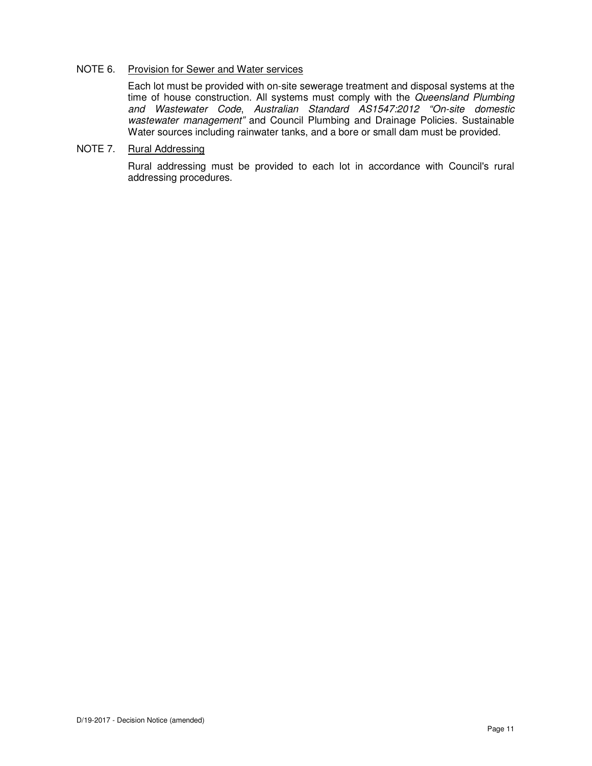#### NOTE 6. Provision for Sewer and Water services

Each lot must be provided with on-site sewerage treatment and disposal systems at the time of house construction. All systems must comply with the Queensland Plumbing and Wastewater Code, Australian Standard AS1547:2012 "On-site domestic wastewater management" and Council Plumbing and Drainage Policies. Sustainable Water sources including rainwater tanks, and a bore or small dam must be provided.

# NOTE 7. Rural Addressing

Rural addressing must be provided to each lot in accordance with Council's rural addressing procedures.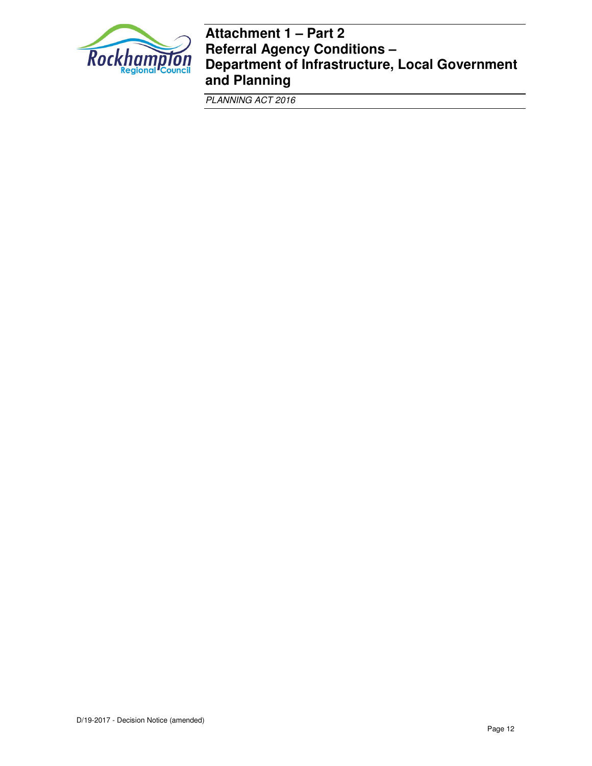

# **Attachment 1 – Part 2 Referral Agency Conditions – Department of Infrastructure, Local Government and Planning**

PLANNING ACT 2016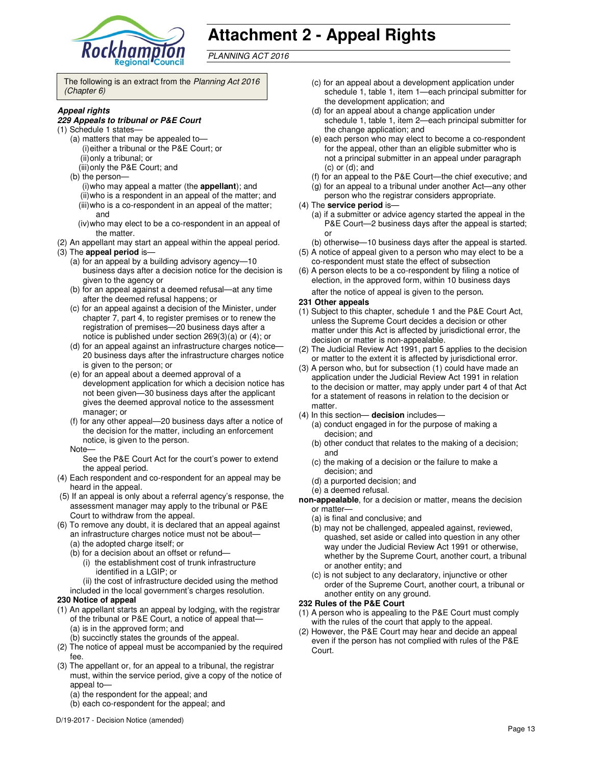

# **Attachment 2 - Appeal Rights**

PLANNING ACT 2016

The following is an extract from the Planning Act 2016 (Chapter 6)

#### **Appeal rights**

#### **229 Appeals to tribunal or P&E Court**

- (1) Schedule 1 states—
	- (a) matters that may be appealed to— (i) either a tribunal or the P&E Court; or (ii) only a tribunal; or (iii) only the P&E Court; and
	- (b) the person—
		- (i) who may appeal a matter (the **appellant**); and (ii) who is a respondent in an appeal of the matter; and (iii) who is a co-respondent in an appeal of the matter; and
		- (iv) who may elect to be a co-respondent in an appeal of the matter.
- (2) An appellant may start an appeal within the appeal period.
- (3) The **appeal period** is—
	- (a) for an appeal by a building advisory agency—10 business days after a decision notice for the decision is given to the agency or
	- (b) for an appeal against a deemed refusal—at any time after the deemed refusal happens; or
	- (c) for an appeal against a decision of the Minister, under chapter 7, part 4, to register premises or to renew the registration of premises—20 business days after a notice is published under section 269(3)(a) or (4); or
	- (d) for an appeal against an infrastructure charges notice— 20 business days after the infrastructure charges notice is given to the person; or
	- (e) for an appeal about a deemed approval of a development application for which a decision notice has not been given—30 business days after the applicant gives the deemed approval notice to the assessment manager; or
	- (f) for any other appeal—20 business days after a notice of the decision for the matter, including an enforcement notice, is given to the person.
	- Note—

See the P&E Court Act for the court's power to extend the appeal period.

- (4) Each respondent and co-respondent for an appeal may be heard in the appeal.
- (5) If an appeal is only about a referral agency's response, the assessment manager may apply to the tribunal or P&E Court to withdraw from the appeal.
- (6) To remove any doubt, it is declared that an appeal against an infrastructure charges notice must not be about—
	- (a) the adopted charge itself; or
	- (b) for a decision about an offset or refund—
		- (i) the establishment cost of trunk infrastructure identified in a LGIP; or
	- (ii) the cost of infrastructure decided using the method included in the local government's charges resolution.

#### **230 Notice of appeal**

- (1) An appellant starts an appeal by lodging, with the registrar of the tribunal or P&E Court, a notice of appeal that— (a) is in the approved form; and
	- (b) succinctly states the grounds of the appeal.
- (2) The notice of appeal must be accompanied by the required fee.
- (3) The appellant or, for an appeal to a tribunal, the registrar must, within the service period, give a copy of the notice of appeal to-
	- (a) the respondent for the appeal; and
	- (b) each co-respondent for the appeal; and
- (c) for an appeal about a development application under schedule 1, table 1, item 1—each principal submitter for the development application; and
- (d) for an appeal about a change application under schedule 1, table 1, item 2—each principal submitter for the change application; and
- (e) each person who may elect to become a co-respondent for the appeal, other than an eligible submitter who is not a principal submitter in an appeal under paragraph (c) or (d); and
- (f) for an appeal to the P&E Court—the chief executive; and
- (g) for an appeal to a tribunal under another Act—any other
- person who the registrar considers appropriate.

#### (4) The **service period** is—

- (a) if a submitter or advice agency started the appeal in the P&E Court-2 business days after the appeal is started; or
- (b) otherwise—10 business days after the appeal is started.
- (5) A notice of appeal given to a person who may elect to be a co-respondent must state the effect of subsection
- (6) A person elects to be a co-respondent by filing a notice of election, in the approved form, within 10 business days after the notice of appeal is given to the person*.*

#### **231 Other appeals**

- (1) Subject to this chapter, schedule 1 and the P&E Court Act, unless the Supreme Court decides a decision or other matter under this Act is affected by jurisdictional error, the decision or matter is non-appealable.
- (2) The Judicial Review Act 1991, part 5 applies to the decision or matter to the extent it is affected by jurisdictional error.
- (3) A person who, but for subsection (1) could have made an application under the Judicial Review Act 1991 in relation to the decision or matter, may apply under part 4 of that Act for a statement of reasons in relation to the decision or matter.
- (4) In this section— **decision** includes—
	- (a) conduct engaged in for the purpose of making a decision; and
	- (b) other conduct that relates to the making of a decision; and
	- (c) the making of a decision or the failure to make a decision; and
	- (d) a purported decision; and
	- (e) a deemed refusal.
- **non-appealable**, for a decision or matter, means the decision or matter—
	- (a) is final and conclusive; and
	- (b) may not be challenged, appealed against, reviewed, quashed, set aside or called into question in any other way under the Judicial Review Act 1991 or otherwise, whether by the Supreme Court, another court, a tribunal or another entity; and
	- (c) is not subject to any declaratory, injunctive or other order of the Supreme Court, another court, a tribunal or another entity on any ground.

#### **232 Rules of the P&E Court**

- (1) A person who is appealing to the P&E Court must comply with the rules of the court that apply to the appeal.
- (2) However, the P&E Court may hear and decide an appeal even if the person has not complied with rules of the P&E Court.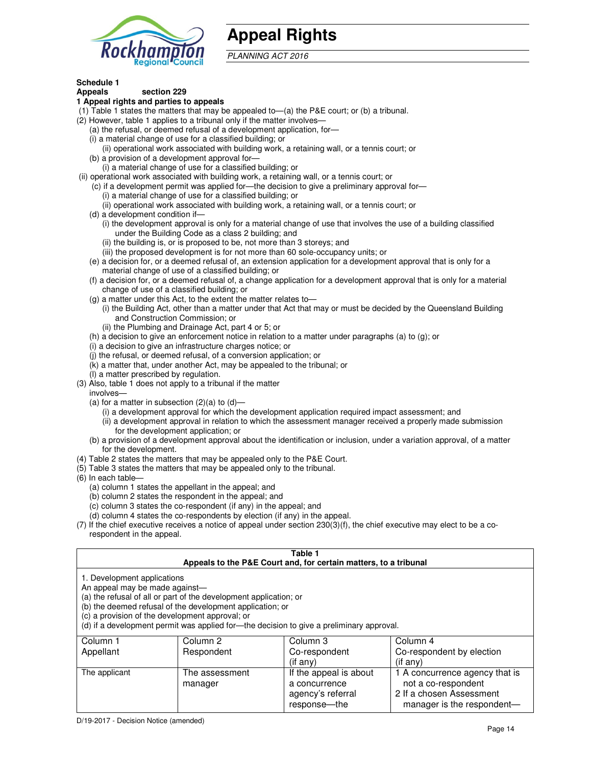

# **Appeal Rights**

PLANNING ACT 2016

## **Schedule 1**

#### **Appeals section 229 1 Appeal rights and parties to appeals**

- (1) Table 1 states the matters that may be appealed to—(a) the P&E court; or (b) a tribunal.
- (2) However, table 1 applies to a tribunal only if the matter involves—
	- (a) the refusal, or deemed refusal of a development application, for—
	- (i) a material change of use for a classified building; or
	- (ii) operational work associated with building work, a retaining wall, or a tennis court; or (b) a provision of a development approval for—
	- (i) a material change of use for a classified building; or
- (ii) operational work associated with building work, a retaining wall, or a tennis court; or
	- (c) if a development permit was applied for—the decision to give a preliminary approval for—
		- (i) a material change of use for a classified building; or
		- (ii) operational work associated with building work, a retaining wall, or a tennis court; or
	- (d) a development condition if—
		- (i) the development approval is only for a material change of use that involves the use of a building classified under the Building Code as a class 2 building; and
		- (ii) the building is, or is proposed to be, not more than 3 storeys; and
		- (iii) the proposed development is for not more than 60 sole-occupancy units; or
	- (e) a decision for, or a deemed refusal of, an extension application for a development approval that is only for a material change of use of a classified building; or
	- (f) a decision for, or a deemed refusal of, a change application for a development approval that is only for a material change of use of a classified building; or
	- (g) a matter under this Act, to the extent the matter relates to—
		- (i) the Building Act, other than a matter under that Act that may or must be decided by the Queensland Building and Construction Commission; or
		- (ii) the Plumbing and Drainage Act, part 4 or 5; or
	- (h) a decision to give an enforcement notice in relation to a matter under paragraphs (a) to (g); or
	- (i) a decision to give an infrastructure charges notice; or
	- (j) the refusal, or deemed refusal, of a conversion application; or
	- (k) a matter that, under another Act, may be appealed to the tribunal; or
	- (l) a matter prescribed by regulation.
- (3) Also, table 1 does not apply to a tribunal if the matter
- involves—
	- (a) for a matter in subsection  $(2)(a)$  to  $(d)$ 
		- (i) a development approval for which the development application required impact assessment; and
		- (ii) a development approval in relation to which the assessment manager received a properly made submission for the development application; or
	- (b) a provision of a development approval about the identification or inclusion, under a variation approval, of a matter for the development.
- (4) Table 2 states the matters that may be appealed only to the P&E Court.
- (5) Table 3 states the matters that may be appealed only to the tribunal.
- (6) In each table—
	- (a) column 1 states the appellant in the appeal; and
	- (b) column 2 states the respondent in the appeal; and
	- (c) column 3 states the co-respondent (if any) in the appeal; and
	- (d) column 4 states the co-respondents by election (if any) in the appeal.
- (7) If the chief executive receives a notice of appeal under section 230(3)(f), the chief executive may elect to be a corespondent in the appeal.

| Table 1<br>Appeals to the P&E Court and, for certain matters, to a tribunal                                                                                                                                                                                                                                                                    |                           |                                                              |                                                                                   |  |
|------------------------------------------------------------------------------------------------------------------------------------------------------------------------------------------------------------------------------------------------------------------------------------------------------------------------------------------------|---------------------------|--------------------------------------------------------------|-----------------------------------------------------------------------------------|--|
| 1. Development applications<br>An appeal may be made against-<br>(a) the refusal of all or part of the development application; or<br>(b) the deemed refusal of the development application; or<br>(c) a provision of the development approval; or<br>(d) if a development permit was applied for-the decision to give a preliminary approval. |                           |                                                              |                                                                                   |  |
| Column 1                                                                                                                                                                                                                                                                                                                                       | Column 2                  | Column 3                                                     | Column 4                                                                          |  |
| Appellant                                                                                                                                                                                                                                                                                                                                      | Respondent                | Co-respondent<br>$($ if any $)$                              | Co-respondent by election<br>(i f any)                                            |  |
| The applicant                                                                                                                                                                                                                                                                                                                                  | The assessment<br>manager | If the appeal is about<br>a concurrence<br>agency's referral | 1 A concurrence agency that is<br>not a co-respondent<br>2 If a chosen Assessment |  |

response—the

manager is the respondent-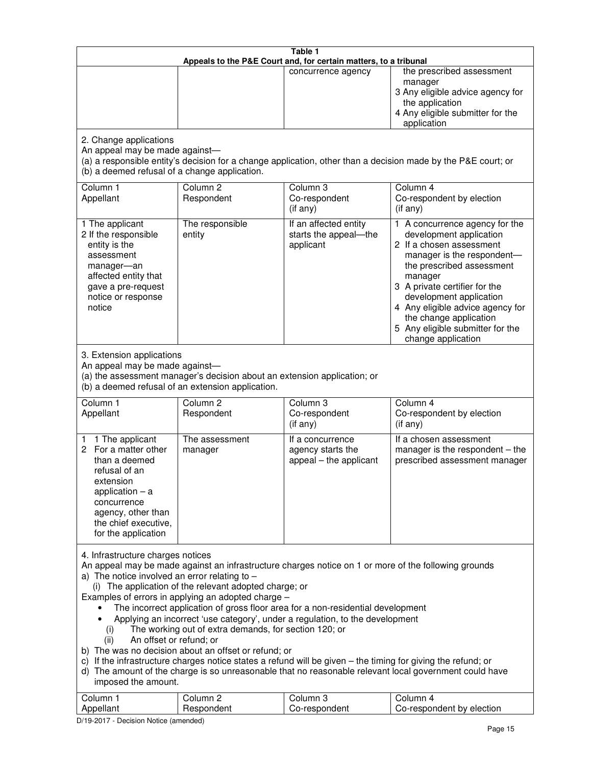| Table 1<br>Appeals to the P&E Court and, for certain matters, to a tribunal                                                                                                                                                                                                                                                                                                                                                                                                                                                                                                                                                                                                                                                                                                                                                                                                                                                                                       |                                   |                                                                 |                                                                                                                                                                                                                                                                                                                                                 |
|-------------------------------------------------------------------------------------------------------------------------------------------------------------------------------------------------------------------------------------------------------------------------------------------------------------------------------------------------------------------------------------------------------------------------------------------------------------------------------------------------------------------------------------------------------------------------------------------------------------------------------------------------------------------------------------------------------------------------------------------------------------------------------------------------------------------------------------------------------------------------------------------------------------------------------------------------------------------|-----------------------------------|-----------------------------------------------------------------|-------------------------------------------------------------------------------------------------------------------------------------------------------------------------------------------------------------------------------------------------------------------------------------------------------------------------------------------------|
|                                                                                                                                                                                                                                                                                                                                                                                                                                                                                                                                                                                                                                                                                                                                                                                                                                                                                                                                                                   |                                   | concurrence agency                                              | the prescribed assessment<br>manager<br>3 Any eligible advice agency for<br>the application<br>4 Any eligible submitter for the<br>application                                                                                                                                                                                                  |
| 2. Change applications<br>An appeal may be made against-<br>(b) a deemed refusal of a change application.                                                                                                                                                                                                                                                                                                                                                                                                                                                                                                                                                                                                                                                                                                                                                                                                                                                         |                                   |                                                                 | (a) a responsible entity's decision for a change application, other than a decision made by the P&E court; or                                                                                                                                                                                                                                   |
| Column 1<br>Appellant                                                                                                                                                                                                                                                                                                                                                                                                                                                                                                                                                                                                                                                                                                                                                                                                                                                                                                                                             | Column <sub>2</sub><br>Respondent | Column <sub>3</sub><br>Co-respondent<br>(if any)                | Column 4<br>Co-respondent by election<br>(if any)                                                                                                                                                                                                                                                                                               |
| 1 The applicant<br>2 If the responsible<br>entity is the<br>assessment<br>manager-an<br>affected entity that<br>gave a pre-request<br>notice or response<br>notice                                                                                                                                                                                                                                                                                                                                                                                                                                                                                                                                                                                                                                                                                                                                                                                                | The responsible<br>entity         | If an affected entity<br>starts the appeal-the<br>applicant     | 1 A concurrence agency for the<br>development application<br>2 If a chosen assessment<br>manager is the respondent-<br>the prescribed assessment<br>manager<br>3 A private certifier for the<br>development application<br>4 Any eligible advice agency for<br>the change application<br>5 Any eligible submitter for the<br>change application |
| 3. Extension applications<br>An appeal may be made against-<br>(a) the assessment manager's decision about an extension application; or<br>(b) a deemed refusal of an extension application.                                                                                                                                                                                                                                                                                                                                                                                                                                                                                                                                                                                                                                                                                                                                                                      |                                   |                                                                 |                                                                                                                                                                                                                                                                                                                                                 |
| Column 1<br>Appellant                                                                                                                                                                                                                                                                                                                                                                                                                                                                                                                                                                                                                                                                                                                                                                                                                                                                                                                                             | Column <sub>2</sub><br>Respondent | Column 3<br>Co-respondent<br>(if any)                           | Column 4<br>Co-respondent by election<br>(if any)                                                                                                                                                                                                                                                                                               |
| 1 The applicant<br>1.<br>For a matter other<br>2<br>than a deemed<br>refusal of an<br>extension<br>application $-$ a<br>concurrence<br>agency, other than<br>the chief executive,<br>for the application                                                                                                                                                                                                                                                                                                                                                                                                                                                                                                                                                                                                                                                                                                                                                          | The assessment<br>manager         | If a concurrence<br>agency starts the<br>appeal - the applicant | If a chosen assessment<br>manager is the respondent - the<br>prescribed assessment manager                                                                                                                                                                                                                                                      |
| 4. Infrastructure charges notices<br>An appeal may be made against an infrastructure charges notice on 1 or more of the following grounds<br>a) The notice involved an error relating to $-$<br>(i) The application of the relevant adopted charge; or<br>Examples of errors in applying an adopted charge -<br>The incorrect application of gross floor area for a non-residential development<br>Applying an incorrect 'use category', under a regulation, to the development<br>The working out of extra demands, for section 120; or<br>(i)<br>An offset or refund; or<br>(ii)<br>b) The was no decision about an offset or refund; or<br>c) If the infrastructure charges notice states a refund will be given - the timing for giving the refund; or<br>d) The amount of the charge is so unreasonable that no reasonable relevant local government could have<br>imposed the amount.<br>Column 1<br>Column <sub>2</sub><br>Column <sub>3</sub><br>Column 4 |                                   |                                                                 |                                                                                                                                                                                                                                                                                                                                                 |
| Appellant                                                                                                                                                                                                                                                                                                                                                                                                                                                                                                                                                                                                                                                                                                                                                                                                                                                                                                                                                         | Respondent                        | Co-respondent                                                   | Co-respondent by election                                                                                                                                                                                                                                                                                                                       |

D/19-2017 - Decision Notice (amended)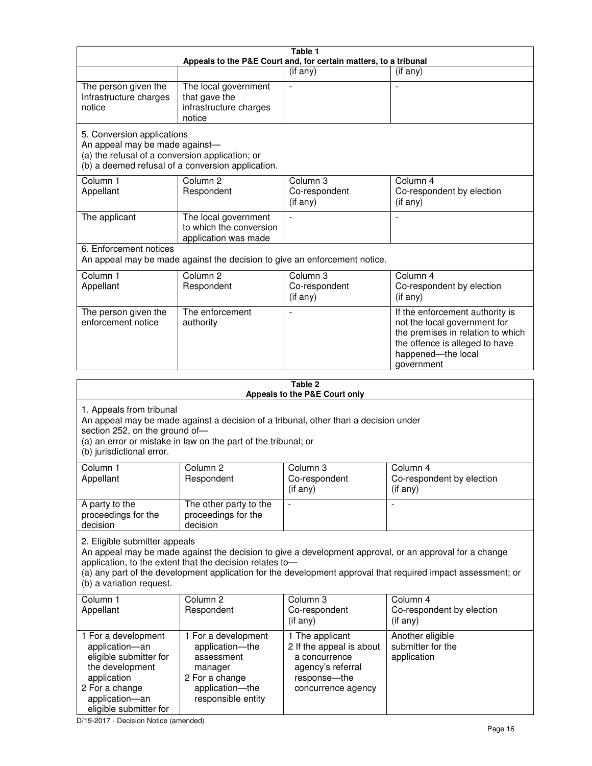| Table 1<br>Appeals to the P&E Court and, for certain matters, to a tribunal                                                                                                                                                                                                                                                                     |                                                                                                                            |                                                                                                                         |                                                                                                                                                                            |  |
|-------------------------------------------------------------------------------------------------------------------------------------------------------------------------------------------------------------------------------------------------------------------------------------------------------------------------------------------------|----------------------------------------------------------------------------------------------------------------------------|-------------------------------------------------------------------------------------------------------------------------|----------------------------------------------------------------------------------------------------------------------------------------------------------------------------|--|
|                                                                                                                                                                                                                                                                                                                                                 |                                                                                                                            | (if any)                                                                                                                | $($ if any $)$                                                                                                                                                             |  |
| The person given the<br>Infrastructure charges<br>notice                                                                                                                                                                                                                                                                                        | The local government<br>that gave the<br>infrastructure charges<br>notice                                                  | $\blacksquare$                                                                                                          |                                                                                                                                                                            |  |
| 5. Conversion applications<br>An appeal may be made against-<br>(a) the refusal of a conversion application; or                                                                                                                                                                                                                                 | (b) a deemed refusal of a conversion application.                                                                          |                                                                                                                         |                                                                                                                                                                            |  |
| Column 1<br>Appellant                                                                                                                                                                                                                                                                                                                           | Column <sub>2</sub><br>Respondent                                                                                          | Column 3<br>Co-respondent<br>(if any)                                                                                   | Column 4<br>Co-respondent by election<br>(if any)                                                                                                                          |  |
| The applicant                                                                                                                                                                                                                                                                                                                                   | The local government<br>to which the conversion<br>application was made                                                    | $\blacksquare$                                                                                                          | $\overline{\phantom{a}}$                                                                                                                                                   |  |
| 6. Enforcement notices                                                                                                                                                                                                                                                                                                                          |                                                                                                                            | An appeal may be made against the decision to give an enforcement notice.                                               |                                                                                                                                                                            |  |
| Column 1<br>Appellant                                                                                                                                                                                                                                                                                                                           | Column <sub>2</sub><br>Respondent                                                                                          | Column 3<br>Co-respondent<br>(if any)                                                                                   | Column 4<br>Co-respondent by election<br>(if any)                                                                                                                          |  |
| The person given the<br>enforcement notice                                                                                                                                                                                                                                                                                                      | The enforcement<br>authority                                                                                               |                                                                                                                         | If the enforcement authority is<br>not the local government for<br>the premises in relation to which<br>the offence is alleged to have<br>happened-the local<br>government |  |
| Table 2<br>Appeals to the P&E Court only                                                                                                                                                                                                                                                                                                        |                                                                                                                            |                                                                                                                         |                                                                                                                                                                            |  |
| 1. Appeals from tribunal<br>An appeal may be made against a decision of a tribunal, other than a decision under<br>section 252, on the ground of-<br>(a) an error or mistake in law on the part of the tribunal; or<br>(b) jurisdictional error.                                                                                                |                                                                                                                            |                                                                                                                         |                                                                                                                                                                            |  |
| Column 1<br>Appellant                                                                                                                                                                                                                                                                                                                           | Column 2<br>Respondent                                                                                                     | Column 3<br>Co-respondent<br>$($ if any $)$                                                                             | Column 4<br>Co-respondent by election<br>(i f any)                                                                                                                         |  |
| A party to the<br>proceedings for the<br>decision                                                                                                                                                                                                                                                                                               | The other party to the<br>proceedings for the<br>decision                                                                  | $\qquad \qquad \blacksquare$                                                                                            |                                                                                                                                                                            |  |
| 2. Eligible submitter appeals<br>An appeal may be made against the decision to give a development approval, or an approval for a change<br>application, to the extent that the decision relates to-<br>(a) any part of the development application for the development approval that required impact assessment; or<br>(b) a variation request. |                                                                                                                            |                                                                                                                         |                                                                                                                                                                            |  |
| Column 1<br>Appellant                                                                                                                                                                                                                                                                                                                           | Column 2<br>Respondent                                                                                                     | Column 3<br>Co-respondent<br>$($ if any $)$                                                                             | Column 4<br>Co-respondent by election<br>(if any)                                                                                                                          |  |
| 1 For a development<br>application-an<br>eligible submitter for<br>the development<br>application<br>2 For a change<br>application-an                                                                                                                                                                                                           | 1 For a development<br>application-the<br>assessment<br>manager<br>2 For a change<br>application-the<br>responsible entity | 1 The applicant<br>2 If the appeal is about<br>a concurrence<br>agency's referral<br>response-the<br>concurrence agency | Another eligible<br>submitter for the<br>application                                                                                                                       |  |

D/19-2017 - Decision Notice (amended)

eligible submitter for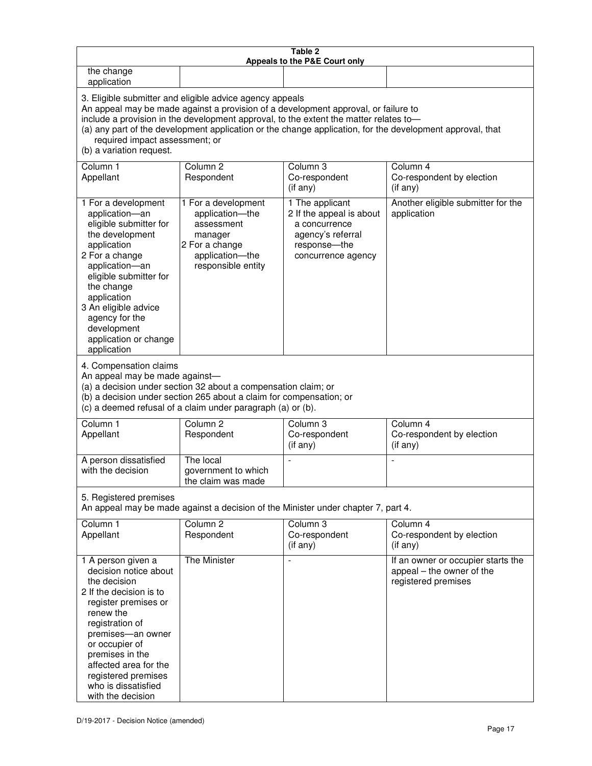| Table 2<br>Appeals to the P&E Court only                                                                                                                                                                                                                                                                                                                                                                           |                                                                                                                            |                                                                                                                         |                                                                                        |
|--------------------------------------------------------------------------------------------------------------------------------------------------------------------------------------------------------------------------------------------------------------------------------------------------------------------------------------------------------------------------------------------------------------------|----------------------------------------------------------------------------------------------------------------------------|-------------------------------------------------------------------------------------------------------------------------|----------------------------------------------------------------------------------------|
| the change<br>application                                                                                                                                                                                                                                                                                                                                                                                          |                                                                                                                            |                                                                                                                         |                                                                                        |
| 3. Eligible submitter and eligible advice agency appeals<br>An appeal may be made against a provision of a development approval, or failure to<br>include a provision in the development approval, to the extent the matter relates to-<br>(a) any part of the development application or the change application, for the development approval, that<br>required impact assessment; or<br>(b) a variation request. |                                                                                                                            |                                                                                                                         |                                                                                        |
| Column 1<br>Appellant                                                                                                                                                                                                                                                                                                                                                                                              | Column <sub>2</sub><br>Respondent                                                                                          | Column 3<br>Co-respondent<br>(if any)                                                                                   | Column 4<br>Co-respondent by election<br>(if any)                                      |
| 1 For a development<br>application-an<br>eligible submitter for<br>the development<br>application<br>2 For a change<br>application-an<br>eligible submitter for<br>the change<br>application<br>3 An eligible advice<br>agency for the<br>development<br>application or change<br>application                                                                                                                      | 1 For a development<br>application-the<br>assessment<br>manager<br>2 For a change<br>application-the<br>responsible entity | 1 The applicant<br>2 If the appeal is about<br>a concurrence<br>agency's referral<br>response-the<br>concurrence agency | Another eligible submitter for the<br>application                                      |
| 4. Compensation claims<br>An appeal may be made against-<br>(a) a decision under section 32 about a compensation claim; or<br>(b) a decision under section 265 about a claim for compensation; or<br>(c) a deemed refusal of a claim under paragraph (a) or (b).                                                                                                                                                   |                                                                                                                            |                                                                                                                         |                                                                                        |
| Column <sub>1</sub><br>Appellant                                                                                                                                                                                                                                                                                                                                                                                   | Column <sub>2</sub><br>Respondent                                                                                          | Column 3<br>Co-respondent<br>(if any)                                                                                   | Column 4<br>Co-respondent by election<br>(if any)                                      |
| A person dissatisfied<br>with the decision                                                                                                                                                                                                                                                                                                                                                                         | The local<br>government to which<br>the claim was made                                                                     | ÷,                                                                                                                      | $\overline{a}$                                                                         |
| 5. Registered premises<br>An appeal may be made against a decision of the Minister under chapter 7, part 4.                                                                                                                                                                                                                                                                                                        |                                                                                                                            |                                                                                                                         |                                                                                        |
| Column <sub>1</sub><br>Appellant                                                                                                                                                                                                                                                                                                                                                                                   | Column <sub>2</sub><br>Respondent                                                                                          | Column <sub>3</sub><br>Co-respondent<br>(if any)                                                                        | Column 4<br>Co-respondent by election<br>(if any)                                      |
| 1 A person given a<br>decision notice about<br>the decision<br>2 If the decision is to<br>register premises or<br>renew the<br>registration of<br>premises-an owner<br>or occupier of<br>premises in the<br>affected area for the<br>registered premises<br>who is dissatisfied<br>with the decision                                                                                                               | <b>The Minister</b>                                                                                                        |                                                                                                                         | If an owner or occupier starts the<br>appeal - the owner of the<br>registered premises |